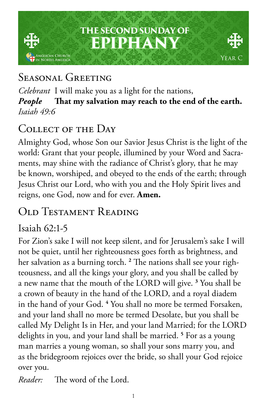## **THE SECOND SUNDAY OF EPIPHANY** .<br>Glican Church<br>North America Year C

# SEASONAL GREETING

*Celebrant* I will make you as a light for the nations, *People* **That my salvation may reach to the end of the earth.** *Isaiah 49:6*

## COLLECT OF THE DAY

Almighty God, whose Son our Savior Jesus Christ is the light of the world: Grant that your people, illumined by your Word and Sacraments, may shine with the radiance of Christ's glory, that he may be known, worshiped, and obeyed to the ends of the earth; through Jesus Christ our Lord, who with you and the Holy Spirit lives and reigns, one God, now and for ever. **Amen.**

# Old Testament Reading

#### Isaiah 62:1-5

For Zion's sake I will not keep silent, and for Jerusalem's sake I will not be quiet, until her righteousness goes forth as brightness, and her salvation as a burning torch. **<sup>2</sup>** The nations shall see your righteousness, and all the kings your glory, and you shall be called by a new name that the mouth of the LORD will give. **<sup>3</sup>** You shall be a crown of beauty in the hand of the LORD, and a royal diadem in the hand of your God. **<sup>4</sup>** You shall no more be termed Forsaken, and your land shall no more be termed Desolate, but you shall be called My Delight Is in Her, and your land Married; for the LORD delights in you, and your land shall be married. **<sup>5</sup>** For as a young man marries a young woman, so shall your sons marry you, and as the bridegroom rejoices over the bride, so shall your God rejoice over you.

*Reader:* The word of the Lord.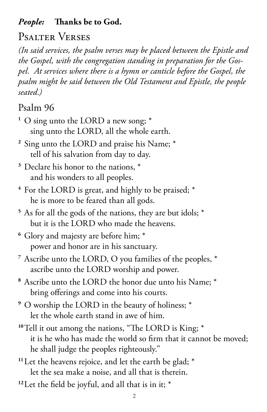#### *People:* **Thanks be to God.**

# Psalter Verses

*(In said services, the psalm verses may be placed between the Epistle and the Gospel, with the congregation standing in preparation for the Gospel. At services where there is a hymn or canticle before the Gospel, the psalm might be said between the Old Testament and Epistle, the people seated.)*

## Psalm 96

- **<sup>1</sup>** O sing unto the LORD a new song; \* sing unto the LORD, all the whole earth.
- **<sup>2</sup>** Sing unto the LORD and praise his Name; \* tell of his salvation from day to day.
- **<sup>3</sup>** Declare his honor to the nations, \* and his wonders to all peoples.
- **<sup>4</sup>** For the LORD is great, and highly to be praised; \* he is more to be feared than all gods.
- **<sup>5</sup>** As for all the gods of the nations, they are but idols; \* but it is the LORD who made the heavens.
- **<sup>6</sup>** Glory and majesty are before him; \* power and honor are in his sanctuary.
- **<sup>7</sup>** Ascribe unto the LORD, O you families of the peoples, \* ascribe unto the LORD worship and power.
- **<sup>8</sup>** Ascribe unto the LORD the honor due unto his Name; \* bring offerings and come into his courts.
- **<sup>9</sup>** O worship the LORD in the beauty of holiness; \* let the whole earth stand in awe of him.
- **<sup>10</sup>**Tell it out among the nations, "The LORD is King; \* it is he who has made the world so firm that it cannot be moved; he shall judge the peoples righteously."
- <sup>11</sup>Let the heavens rejoice, and let the earth be glad; \* let the sea make a noise, and all that is therein.
- **12**Let the field be joyful, and all that is in it; \*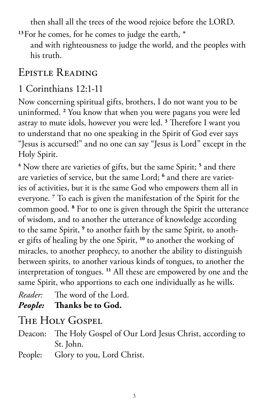then shall all the trees of the wood rejoice before the LORD.

<sup>13</sup>For he comes, for he comes to judge the earth,  $*$ and with righteousness to judge the world, and the peoples with his truth.

## Epistle Reading

#### 1 Corinthians 12:1-11

Now concerning spiritual gifts, brothers, I do not want you to be uninformed. **<sup>2</sup>** You know that when you were pagans you were led astray to mute idols, however you were led. **<sup>3</sup>** Therefore I want you to understand that no one speaking in the Spirit of God ever says "Jesus is accursed!" and no one can say "Jesus is Lord" except in the Holy Spirit.

**4** Now there are varieties of gifts, but the same Spirit; **<sup>5</sup>** and there are varieties of service, but the same Lord; **<sup>6</sup>** and there are varieties of activities, but it is the same God who empowers them all in everyone. **<sup>7</sup>** To each is given the manifestation of the Spirit for the common good. **<sup>8</sup>** For to one is given through the Spirit the utterance of wisdom, and to another the utterance of knowledge according to the same Spirit, **<sup>9</sup>** to another faith by the same Spirit, to another gifts of healing by the one Spirit, **<sup>10</sup>** to another the working of miracles, to another prophecy, to another the ability to distinguish between spirits, to another various kinds of tongues, to another the interpretation of tongues. **<sup>11</sup>** All these are empowered by one and the same Spirit, who apportions to each one individually as he wills.

*Reader:* The word of the Lord.

*People:* **Thanks be to God.** 

The Holy Gospel

- Deacon: The Holy Gospel of Our Lord Jesus Christ, according to St. John.
- People: Glory to you, Lord Christ.